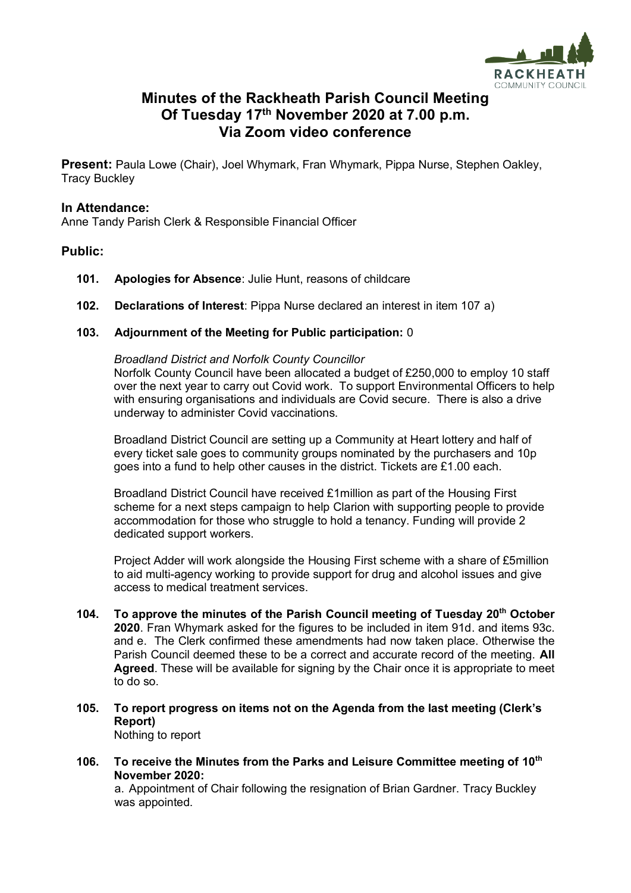

# **Minutes of the Rackheath Parish Council Meeting Of Tuesday 17th November 2020 at 7.00 p.m. Via Zoom video conference**

**Present:** Paula Lowe (Chair), Joel Whymark, Fran Whymark, Pippa Nurse, Stephen Oakley, Tracy Buckley

#### **In Attendance:**

Anne Tandy Parish Clerk & Responsible Financial Officer

# **Public:**

- **101. Apologies for Absence**: Julie Hunt, reasons of childcare
- **102. Declarations of Interest**: Pippa Nurse declared an interest in item 107 a)

#### **103. Adjournment of the Meeting for Public participation:** 0

*Broadland District and Norfolk County Councillor* Norfolk County Council have been allocated a budget of £250,000 to employ 10 staff over the next year to carry out Covid work. To support Environmental Officers to help with ensuring organisations and individuals are Covid secure. There is also a drive underway to administer Covid vaccinations.

Broadland District Council are setting up a Community at Heart lottery and half of every ticket sale goes to community groups nominated by the purchasers and 10p goes into a fund to help other causes in the district. Tickets are £1.00 each.

Broadland District Council have received £1million as part of the Housing First scheme for a next steps campaign to help Clarion with supporting people to provide accommodation for those who struggle to hold a tenancy. Funding will provide 2 dedicated support workers.

Project Adder will work alongside the Housing First scheme with a share of £5million to aid multi-agency working to provide support for drug and alcohol issues and give access to medical treatment services.

- **104. To approve the minutes of the Parish Council meeting of Tuesday 20th October 2020**. Fran Whymark asked for the figures to be included in item 91d. and items 93c. and e. The Clerk confirmed these amendments had now taken place. Otherwise the Parish Council deemed these to be a correct and accurate record of the meeting. **All Agreed**. These will be available for signing by the Chair once it is appropriate to meet to do so.
- **105. To report progress on items not on the Agenda from the last meeting (Clerk's Report)** Nothing to report
- **106. To receive the Minutes from the Parks and Leisure Committee meeting of 10th November 2020:**

a. Appointment of Chair following the resignation of Brian Gardner. Tracy Buckley was appointed.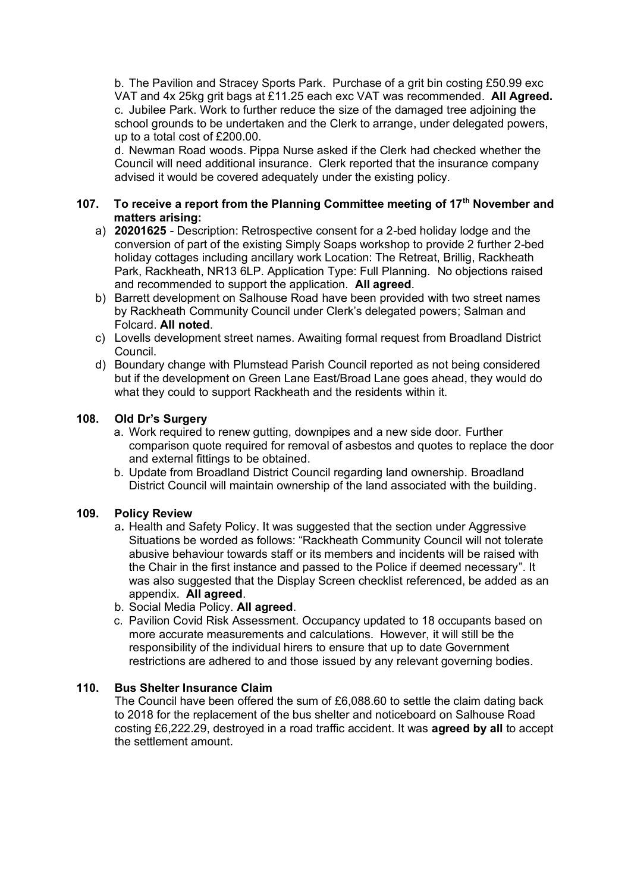b. The Pavilion and Stracey Sports Park. Purchase of a grit bin costing £50.99 exc VAT and 4x 25kg grit bags at £11.25 each exc VAT was recommended. **All Agreed.** c. Jubilee Park. Work to further reduce the size of the damaged tree adjoining the school grounds to be undertaken and the Clerk to arrange, under delegated powers, up to a total cost of £200.00.

d. Newman Road woods. Pippa Nurse asked if the Clerk had checked whether the Council will need additional insurance. Clerk reported that the insurance company advised it would be covered adequately under the existing policy.

## **107. To receive a report from the Planning Committee meeting of 17th November and matters arising:**

- a) **20201625** Description: Retrospective consent for a 2-bed holiday lodge and the conversion of part of the existing Simply Soaps workshop to provide 2 further 2-bed holiday cottages including ancillary work Location: The Retreat, Brillig, Rackheath Park, Rackheath, NR13 6LP. Application Type: Full Planning. No objections raised and recommended to support the application. **All agreed**.
- b) Barrett development on Salhouse Road have been provided with two street names by Rackheath Community Council under Clerk's delegated powers; Salman and Folcard. **All noted**.
- c) Lovells development street names. Awaiting formal request from Broadland District Council.
- d) Boundary change with Plumstead Parish Council reported as not being considered but if the development on Green Lane East/Broad Lane goes ahead, they would do what they could to support Rackheath and the residents within it.

### **108. Old Dr's Surgery**

- a. Work required to renew gutting, downpipes and a new side door. Further comparison quote required for removal of asbestos and quotes to replace the door and external fittings to be obtained.
- b. Update from Broadland District Council regarding land ownership. Broadland District Council will maintain ownership of the land associated with the building.

### **109. Policy Review**

- a**.** Health and Safety Policy. It was suggested that the section under Aggressive Situations be worded as follows: "Rackheath Community Council will not tolerate abusive behaviour towards staff or its members and incidents will be raised with the Chair in the first instance and passed to the Police if deemed necessary". It was also suggested that the Display Screen checklist referenced, be added as an appendix. **All agreed**.
- b. Social Media Policy. **All agreed**.
- c. Pavilion Covid Risk Assessment. Occupancy updated to 18 occupants based on more accurate measurements and calculations. However, it will still be the responsibility of the individual hirers to ensure that up to date Government restrictions are adhered to and those issued by any relevant governing bodies.

### **110. Bus Shelter Insurance Claim**

The Council have been offered the sum of £6,088.60 to settle the claim dating back to 2018 for the replacement of the bus shelter and noticeboard on Salhouse Road costing £6,222.29, destroyed in a road traffic accident. It was **agreed by all** to accept the settlement amount.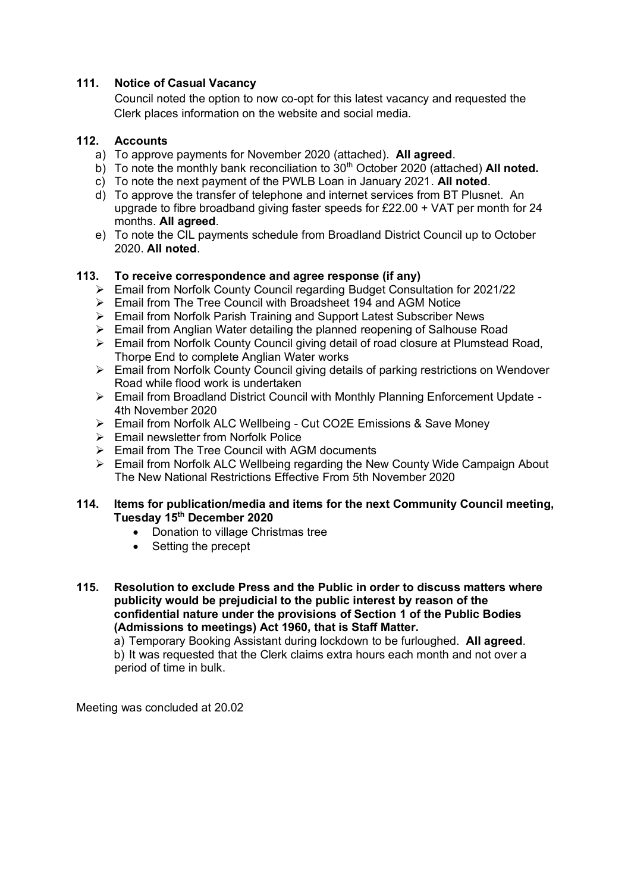# **111. Notice of Casual Vacancy**

Council noted the option to now co-opt for this latest vacancy and requested the Clerk places information on the website and social media.

# **112. Accounts**

- a) To approve payments for November 2020 (attached). **All agreed**.
- b) To note the monthly bank reconciliation to 30<sup>th</sup> October 2020 (attached) **All noted.**
- c) To note the next payment of the PWLB Loan in January 2021. **All noted**.
- d) To approve the transfer of telephone and internet services from BT Plusnet. An upgrade to fibre broadband giving faster speeds for £22.00 + VAT per month for 24 months. **All agreed**.
- e) To note the CIL payments schedule from Broadland District Council up to October 2020. **All noted**.

# **113. To receive correspondence and agree response (if any)**

- ➢ Email from Norfolk County Council regarding Budget Consultation for 2021/22
- ➢ Email from The Tree Council with Broadsheet 194 and AGM Notice
- ➢ Email from Norfolk Parish Training and Support Latest Subscriber News
- ➢ Email from Anglian Water detailing the planned reopening of Salhouse Road
- ➢ Email from Norfolk County Council giving detail of road closure at Plumstead Road, Thorpe End to complete Anglian Water works
- ➢ Email from Norfolk County Council giving details of parking restrictions on Wendover Road while flood work is undertaken
- ➢ Email from Broadland District Council with Monthly Planning Enforcement Update 4th November 2020
- ➢ Email from Norfolk ALC Wellbeing Cut CO2E Emissions & Save Money
- ➢ Email newsletter from Norfolk Police
- $\triangleright$  Email from The Tree Council with AGM documents
- ➢ Email from Norfolk ALC Wellbeing regarding the New County Wide Campaign About The New National Restrictions Effective From 5th November 2020

#### **114. Items for publication/media and items for the next Community Council meeting, Tuesday 15 th December 2020**

- Donation to village Christmas tree
- Setting the precept
- **115. Resolution to exclude Press and the Public in order to discuss matters where publicity would be prejudicial to the public interest by reason of the confidential nature under the provisions of Section 1 of the Public Bodies (Admissions to meetings) Act 1960, that is Staff Matter.**

a) Temporary Booking Assistant during lockdown to be furloughed. **All agreed**. b) It was requested that the Clerk claims extra hours each month and not over a period of time in bulk.

Meeting was concluded at 20.02